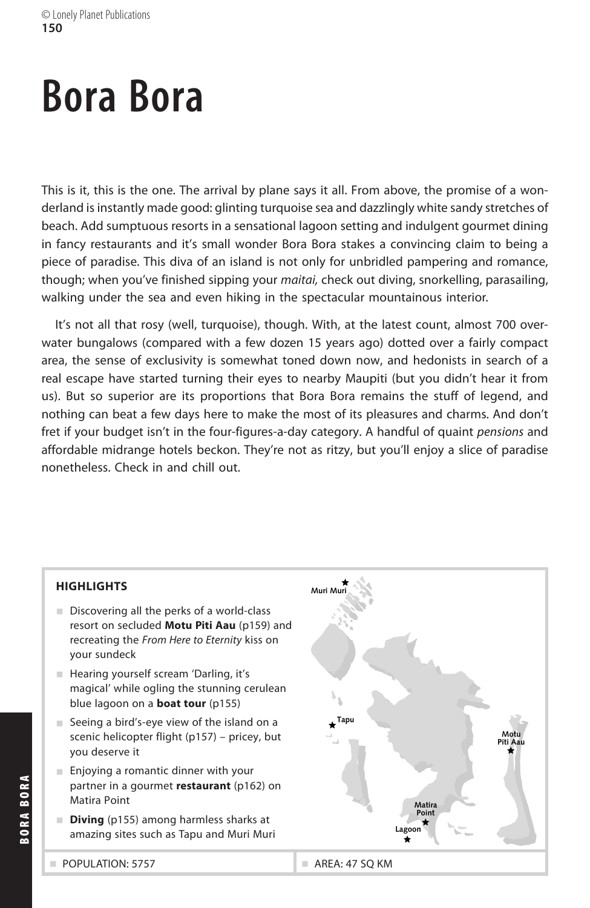# **Bora Bora**

This is it, this is the one. The arrival by plane says it all. From above, the promise of a wonderland is instantly made good: glinting turquoise sea and dazzlingly white sandy stretches of beach. Add sumptuous resorts in a sensational lagoon setting and indulgent gourmet dining in fancy restaurants and it's small wonder Bora Bora stakes a convincing claim to being a piece of paradise. This diva of an island is not only for unbridled pampering and romance, though; when you've finished sipping your *maitai,* check out diving, snorkelling, parasailing, walking under the sea and even hiking in the spectacular mountainous interior.

It's not all that rosy (well, turquoise), though. With, at the latest count, almost 700 overwater bungalows (compared with a few dozen 15 years ago) dotted over a fairly compact area, the sense of exclusivity is somewhat toned down now, and hedonists in search of a real escape have started turning their eyes to nearby Maupiti (but you didn't hear it from us). But so superior are its proportions that Bora Bora remains the stuff of legend, and nothing can beat a few days here to make the most of its pleasures and charms. And don't fret if your budget isn't in the four-figures-a-day category. A handful of quaint *pensions* and affordable midrange hotels beckon. They're not as ritzy, but you'll enjoy a slice of paradise nonetheless. Check in and chill out.



#### **HIGHLIGHTS**

- Discovering all the perks of a world-class resort on secluded Motu Piti Aau (p159) and recreating the *From Here to Eternity* kiss on your sundeck
- **Hearing yourself scream 'Darling, it's** magical' while ogling the stunning cerulean blue lagoon on a **boat tour** (p155)
- Seeing a bird's-eye view of the island on a scenic helicopter flight (p157) - pricey, but you deserve it
- Enjoying a romantic dinner with your partner in a gourmet *restaurant* (p162) on Matira Point
- **Diving** (p155) among harmless sharks at amazing sites such as Tapu and Muri Muri